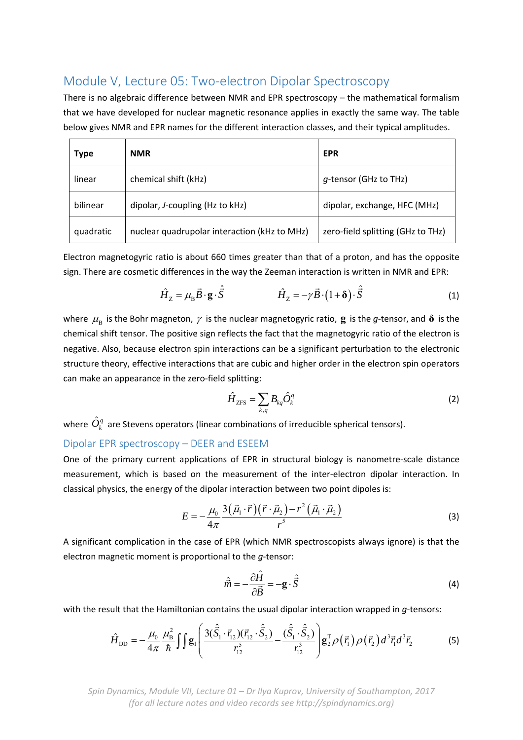## Module V, Lecture 05: Two-electron Dipolar Spectroscopy

There is no algebraic difference between NMR and EPR spectroscopy – the mathematical formalism that we have developed for nuclear magnetic resonance applies in exactly the same way. The table below gives NMR and EPR names for the different interaction classes, and their typical amplitudes.

| <b>Type</b> | <b>NMR</b>                                   | <b>EPR</b>                        |
|-------------|----------------------------------------------|-----------------------------------|
| linear      | chemical shift (kHz)                         | g-tensor (GHz to THz)             |
| bilinear    | dipolar, J-coupling (Hz to kHz)              | dipolar, exchange, HFC (MHz)      |
| quadratic   | nuclear quadrupolar interaction (kHz to MHz) | zero-field splitting (GHz to THz) |

Electron magnetogyric ratio is about 660 times greater than that of a proton, and has the opposite sign. There are cosmetic differences in the way the Zeeman interaction is written in NMR and EPR:

$$
\hat{H}_z = \mu_\text{B} \vec{B} \cdot \mathbf{g} \cdot \hat{\vec{S}} \qquad \qquad \hat{H}_z = -\gamma \vec{B} \cdot (1 + \delta) \cdot \hat{\vec{S}} \qquad (1)
$$

where  $\mu_B$  is the Bohr magneton,  $\gamma$  is the nuclear magnetogyric ratio, **g** is the *g*-tensor, and  $\delta$  is the chemical shift tensor. The positive sign reflects the fact that the magnetogyric ratio of the electron is negative. Also, because electron spin interactions can be a significant perturbation to the electronic structure theory, effective interactions that are cubic and higher order in the electron spin operators can make an appearance in the zero-field splitting:

$$
\hat{H}_{\text{ZFS}} = \sum_{k,q} B_{kq} \hat{O}_k^q \tag{2}
$$

where  $\hat{O}_{\iota}^q$  are Stevens operators (linear combinations of irreducible spherical tensors).

## Dipolar EPR spectroscopy – DEER and ESEEM

One of the primary current applications of EPR in structural biology is nanometre-scale distance measurement, which is based on the measurement of the inter-electron dipolar interaction. In classical physics, the energy of the dipolar interaction between two point dipoles is:

$$
E = -\frac{\mu_0}{4\pi} \frac{3(\vec{\mu}_1 \cdot \vec{r})(\vec{r} \cdot \vec{\mu}_2) - r^2(\vec{\mu}_1 \cdot \vec{\mu}_2)}{r^5}
$$
(3)

A significant complication in the case of EPR (which NMR spectroscopists always ignore) is that the electron magnetic moment is proportional to the *g*‐tensor:

$$
\hat{\vec{m}} = -\frac{\partial \hat{H}}{\partial \vec{B}} = -\mathbf{g} \cdot \hat{\vec{S}} \tag{4}
$$

with the result that the Hamiltonian contains the usual dipolar interaction wrapped in *g*-tensors:

$$
\hat{H}_{\text{DD}} = -\frac{\mu_0}{4\pi} \frac{\mu_{\text{B}}^2}{\hbar} \iint \mathbf{g}_1 \left( \frac{3(\hat{\vec{S}}_1 \cdot \vec{r}_{12})(\vec{r}_{12} \cdot \hat{\vec{S}}_2)}{r_{12}^5} - \frac{(\hat{\vec{S}}_1 \cdot \hat{\vec{S}}_2)}{r_{12}^3} \right) \mathbf{g}_2^{\text{T}} \rho(\vec{r}_1) \rho(\vec{r}_2) d^3 \vec{r}_1 d^3 \vec{r}_2 \tag{5}
$$

*Spin Dynamics, Module VII, Lecture 01 – Dr Ilya Kuprov, University of Southampton, 2017 (for all lecture notes and video records see http://spindynamics.org)*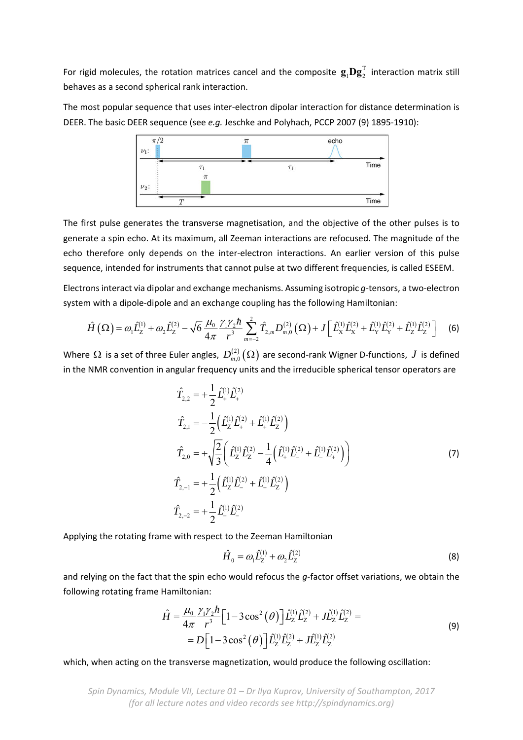For rigid molecules, the rotation matrices cancel and the composite  $\mathbf{g}_1 \mathbf{D} \mathbf{g}_2^T$  interaction matrix still behaves as a second spherical rank interaction.

The most popular sequence that uses inter‐electron dipolar interaction for distance determination is DEER. The basic DEER sequence (see *e.g.* Jeschke and Polyhach, PCCP 2007 (9) 1895-1910):



The first pulse generates the transverse magnetisation, and the objective of the other pulses is to generate a spin echo. At its maximum, all Zeeman interactions are refocused. The magnitude of the echo therefore only depends on the inter-electron interactions. An earlier version of this pulse sequence, intended for instruments that cannot pulse at two different frequencies, is called ESEEM.

Electrons interact via dipolar and exchange mechanisms. Assuming isotropic *g*‐tensors, a two‐electron system with a dipole-dipole and an exchange coupling has the following Hamiltonian:

$$
\hat{H}\left(\Omega\right) = \omega_1 \hat{L}_Z^{(1)} + \omega_2 \hat{L}_Z^{(2)} - \sqrt{6} \frac{\mu_0}{4\pi} \frac{\gamma_1 \gamma_2 \hbar}{r^3} \sum_{m=-2}^2 \hat{T}_{2,m} D_{m,0}^{(2)}\left(\Omega\right) + J \left[\hat{L}_X^{(1)} \hat{L}_X^{(2)} + \hat{L}_Y^{(1)} \hat{L}_Y^{(2)} + \hat{L}_Z^{(1)} \hat{L}_Z^{(2)}\right] \tag{6}
$$

Where  $\Omega$  is a set of three Euler angles,  $D_{m,0}^{(2)}(\Omega)$  are second-rank Wigner D-functions,  $J$  is defined in the NMR convention in angular frequency units and the irreducible spherical tensor operators are

$$
\hat{T}_{2,2} = +\frac{1}{2} \hat{L}_{+}^{(1)} \hat{L}_{+}^{(2)}
$$
\n
$$
\hat{T}_{2,1} = -\frac{1}{2} \Big( \hat{L}_{2}^{(1)} \hat{L}_{+}^{(2)} + \hat{L}_{+}^{(1)} \hat{L}_{2}^{(2)} \Big)
$$
\n
$$
\hat{T}_{2,0} = +\sqrt{\frac{2}{3}} \Big( \hat{L}_{2}^{(1)} \hat{L}_{2}^{(2)} - \frac{1}{4} \Big( \hat{L}_{+}^{(1)} \hat{L}_{-}^{(2)} + \hat{L}_{-}^{(1)} \hat{L}_{+}^{(2)} \Big) \Big)
$$
\n
$$
\hat{T}_{2,-1} = +\frac{1}{2} \Big( \hat{L}_{2}^{(1)} \hat{L}_{-}^{(2)} + \hat{L}_{-}^{(1)} \hat{L}_{2}^{(2)} \Big)
$$
\n
$$
\hat{T}_{2,-2} = +\frac{1}{2} \hat{L}_{-}^{(1)} \hat{L}_{-}^{(2)}
$$
\n(7)

Applying the rotating frame with respect to the Zeeman Hamiltonian

$$
\hat{H}_0 = \omega_1 \hat{L}_Z^{(1)} + \omega_2 \hat{L}_Z^{(2)} \tag{8}
$$

and relying on the fact that the spin echo would refocus the *g*-factor offset variations, we obtain the following rotating frame Hamiltonian:

$$
\hat{H} = \frac{\mu_0}{4\pi} \frac{\gamma_1 \gamma_2 \hbar}{r^3} \Big[ 1 - 3\cos^2(\theta) \Big] \hat{L}_Z^{(1)} \hat{L}_Z^{(2)} + J \hat{L}_Z^{(1)} \hat{L}_Z^{(2)} =
$$
  
=  $D \Big[ 1 - 3\cos^2(\theta) \Big] \hat{L}_Z^{(1)} \hat{L}_Z^{(2)} + J \hat{L}_Z^{(1)} \hat{L}_Z^{(2)}$  (9)

which, when acting on the transverse magnetization, would produce the following oscillation:

*Spin Dynamics, Module VII, Lecture 01 – Dr Ilya Kuprov, University of Southampton, 2017 (for all lecture notes and video records see http://spindynamics.org)*